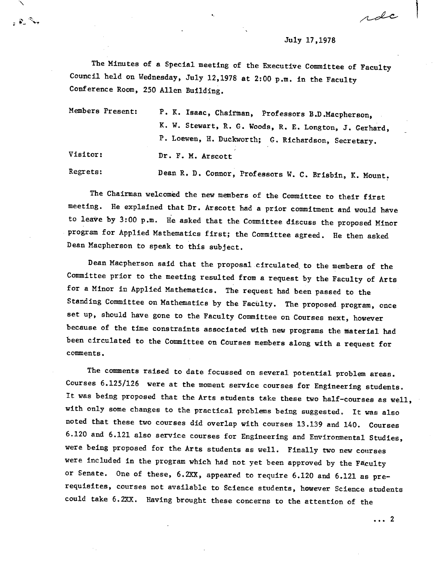rde

The Minutes of a Special meeting of the Executive Committee of Faculty Council held on Wednesday, July 12,1978 at 2:00 p.m. in the Faculty Conference Room, 250 Allen Building.

Members Present: P. K. Isaac, Chairman, Professors B.D.Macpherson, K. W. Stewart, R. C. Woods, R. E. Longton, J. Cerhard, P. Loewen, H. Duckworth; G. Richardson, Secretary. Visitor: Dr. F. M. Arscott

Regrets: Dean R. D. Connor, Professors W. C. Brisbin, K. Mount.

The Chairman welcomed the new members of the Committee to their first meeting. He explained that Dr. Arscott had a prior commitment and would have to leave by 3:00 p.m. He asked that the Committee discuss the proposed Minor program for Applied Mathematics first; the Committee agreed, He then asked Dean Macpherson to speak to this subject.

Dean Macpherson said that the proposal circulated to the members of the Committee prior to the meeting resulted from a request by the Faculty of Arts for a Minor in Applied Mathematics. The request had been passed to the Standing Committee on Mathematics by the Faculty. The proposed program, once set up, should have gone to the Faculty Committee on Courses next, however because of the time constraints associated with new programs the material had been circulated to the Committee on Courses members along with a request for comments.

The comments raised to date focussed on several potential problem areas. Courses 6.125/126 were at the moment service courses for Engineering students. It was being proposed that the Arts students take these two half-courses as well, with only some changes to the practical problems being suggested. It was also noted that these two courses did overlap with courses 13.139 and 140. Courses 6.120 and 6.121 also service courses for Engineering and Environmental Studies, were being proposed for the Arts students as well. Finally two new courses were included in the program which had not yet been approved by the Faculty or Senate. One of these, 6.2XX, appeared to require 6.120 and 6.121 as prerequisites, courses not available to Science students, however Science students could take 6.2XX. Having brought these concerns to the attention of the

... 2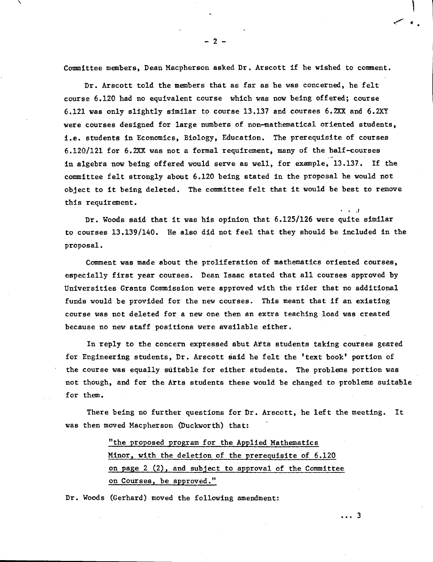Committee members, Dean Macpherson asked Dr • Arscott if he wished to comment.

Dr. Arscott told the members that as far as he was concerned, he felt course 6.120 had no equivalent course which was now being offered; course 6.121 was only slightly similar to course 13.137 and courses 6.2XX and 6.2XY were courses designed for large numbers of non-mathematical oriented students, i.e. students in Economics, Biology, Education. The prerequisite of courses 6.120/121 for 6.2XX was not a formal requirement, many of the half-courses in algebra now being offered would serve as well, for example, 13.137.. If the committee felt strongly about 6.120 being stated in the proposal he would not object to it being deleted. The committee felt that it would be best to remove this requirement.

Dr. Woods said that it was his opinion that 6.125/126 were quite similar to courses 13.139/140. He also did not feel that they should be included in the proposal.

Comment was made about the proliferation of mathematics oriented courses, especially first year courses. Dean Isaac stated that all courses approved by Universities Grants Commission were approved with the rider that no additional funds would be provided for the new courses. This meant that if an existing course was not deleted for a new one then an extra teaching load was created because no new staff positions were available either.

In reply to the concern expressed abut Arts students taking courses geared for Engineering students, Dr. Arscott said he felt the 'text book' portion of the course was equally suitable for either students. The problems portion was not though, and for the Arts students these would be changed to problems suitable for them.

There being no further questions for Dr. Arscott, he left the meeting. It was then moved Macpherson (Duckworth) that:

> "the proposed program for the Applied Mathematics Minor, with the deletion of the prerequisite of 6.120 on page 2 (2), and subject to approval of the Committee on Courses, be approved."

> > ... 3

Dr. Woods (Gerhard) moved the following amendment:

-2--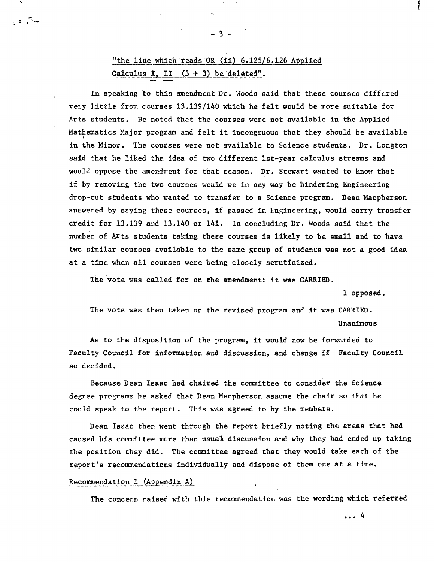## "the line which reads OR (ii) 6.125/6.126 Applied Calculus I, II  $(3 + 3)$  be deleted".

In speaking to this amendment Dr. Woods said that these courses differed very little from courses 13.139/140 which he felt would be more suitable for Arts students. He noted that the courses were not available in the Applied Mathematics Major program and felt it incongruous that they should be available in the Minor. The courses were not available to Science students. Dr. Longton said that he liked the idea of two different 1st-year calculus streams and would oppose the amendment for that reason. Dr. Stewart wanted to know that if by removing the two courses would we in any way be hindering Engineering drop-out students who wanted to transfer to a Science program. Dean Macpherson answered by saying these courses, if passed in Engineering, would carry transfer credit for 13.139 and 13.140 or 141. In concluding Dr. Woods said that the number of Arts students taking these courses is likely to be small and to have two similar courses available to the same group of students was not a good idea at a time when all courses were being closely scrutinized.

The vote was called for on the amendment: it was CARRIED.

1 opposed.

**I** 

 $... 4$ 

The vote was then taken on the revised program and it was CARRIED. Unanimous

As to the disposition of the program, it would now be forwarded to Faculty Council for information and discussion, and change if Faculty Council so decided.

Because Dean Isaac had chaired the committee to consider the Science degree programs he asked that Dean Macpherson assume the chair so that he could speak to the report. This was agreed to by the members.

Dean Isaac then went through the report briefly noting the areas that had caused his committee more than usual discussion and why they had ended up taking the position they did. The committee agreed that they would take each of the report's recommendations individually and dispose of them one at a time.

#### $Recommendation 1 (Appendix A)$

The concern raised with this recommendation was the wording which referred

-3-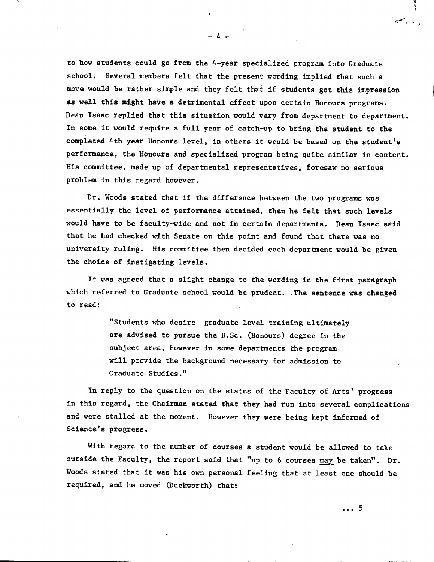to how students could go from the 4-year specialized program into Graduate school. Several members felt that the present wording implied that such a move would be rather simple and they felt that if students got this impression as well this might have a detrimental effect upon certain Honours programs. Dean Isaac replied that this situation would vary from department to department. In some it would require a full year of catch-up to bring the student to the completed 4th year Honours level, in others it would be based on the student's performance, the Honours and specialized program being quite similar in content. His committee, made up of departmental representatives, foresaw no serious problem in this regard however.

Dr. Woods stated that if the difference between the two programs was essentially the level of performance attained, then he felt that such levels would have to be faculty-wide and not in certain departments. Dean Isaac said that he had checked with Senate on this point and found that there was no university ruling. His committee then decided each department would be given the choice of instigating levels.

It was agreed that a slight change to the wording in the first paragraph which referred to Graduate school would be prudent. The sentence was changed to read:

> "Students who desire graduate level training ultimately are advised to pursue the B.Sc. (Honours) degree in the subject area, however in some departments the program will provide the background necessary for admission to Graduate Studies."

In reply to the question on the status of the Faculty of Arts' progress in this regard, the Chairman stated that they had run into several complications and were stalled at the moment. However they were being kept informed of Science's progress.

With regard to the number of courses a student would be allowed to take outside the Faculty, the report said that "up to 6 courses may be taken". Dr. Woods stated that it was his own personal feeling that at least one should be required, and he moved (Duckworth) that:

-4-

... 5

والمراسي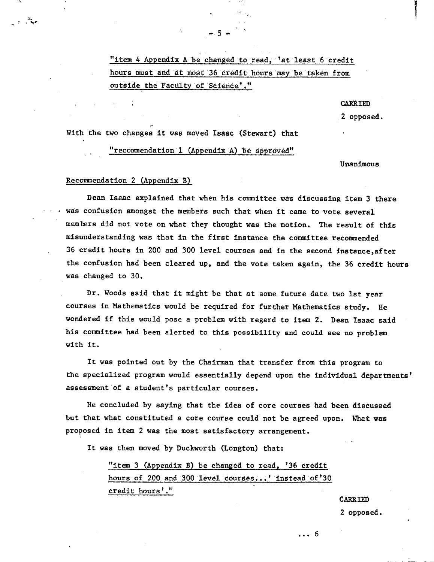"item 4 Appendix A be changed 'to 'read, 'at 'least 6 credit hours must and at most 36 credit hours may be taken from outside the Faculty of Science'."

#### **CARRIED**

2 opposed.

With the two changes it was moved Isaac (Stewart) that

### "recommendation 1 (Appendix A) be approved"

#### Unanimous

#### Recommendation 2 (Appendix B)

مهتق :

Dean Isaac explained that when his committee was discussing item 3 there was confusion amongst the members such that when it came to vote several members did not vote on what they thought was the motion. The result of this misunderstanding was that in the first instance the committee reconmended 36 credit hours in 200 and 300 level courses and in the second instance,after the confusion had been cleared up, and the vote taken again, the 36 credit hours was changed to 30.

Dr. Woods said that it might be that at some future date two 1st year courses in Mathematics would be required for further Mathematics study. He wondered if this would pose a problem with regard to item 2. Dean Isaac said his committee had been alerted to this possibility and could see no problem with it.

It was pointed out by the Chairman that transfer from this program to the specialized program would essentially depend upon the individual departments' assessment'of a student's particular courses.

He concluded by saying that the idea of core courses had been dIscussed but that what constituted a core course could not be agreed upon. What was proposed in item 2 was the most satisfactory arrangement.

It was then moved by Duckworth (Longton) that:

"item 3 (Appendix B) be changed to read, '36 credit hours of 200 and 300 level courses...' instead of'30 credit hours'."

CARRIED 2 opposed.

... 6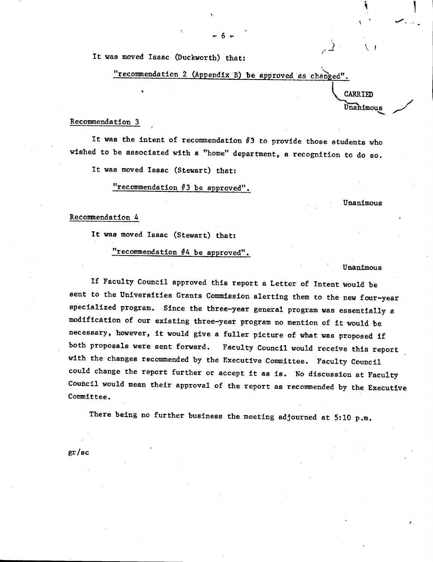It was moved Isaac Duckworth) that:

"recommendation 2 (Appendix B) be approved as changed".

Recommendation 3

It was the intent of recommendation  $#3$  to provide those students who wished to be associated with a "home" department, a recognition to do so.

It was moved Isaac (Stewart) that:

"recommendation #3 be approved".

Unanimous

CARRIED.

Unanimous

\ )

#### Recommendation 4

It was moved Isaac (Stewart) that:

"recommendation #4 be approved".

#### Unanimous

I

If Faculty Council approved this report a Letter of Intent would be sent to the Universities Grants Commission alerting them to the new four-year specialized program. Since the three-year general program was essentially a modification of our existing three-year program no mention of it would be necessary, however, it would give a fuller picture of what was proposed If both proposals were sent forward. Faculty Council would receive this report with the changes recommended by the Executive Committee. Faculty Council could change the report further or accept it as is. No discussion at Faculty Council would mean their approval of the report as recommended by the Executive Committee.

There being no further business the meeting adjourned at 5:10 p.m.

gr/sc